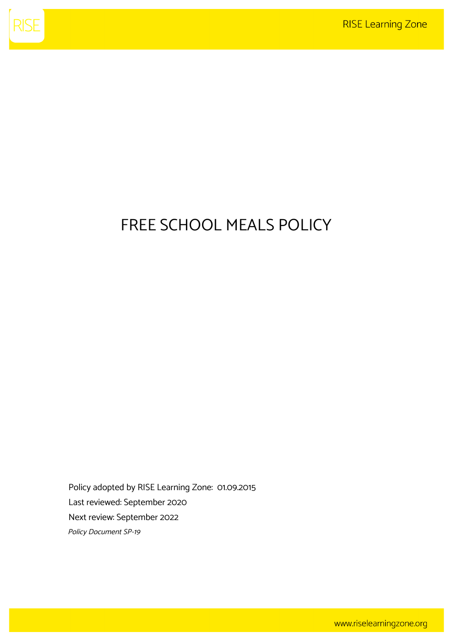

## FREE SCHOOL MEALS POLICY

Policy adopted by RISE Learning Zone: 01.09.2015 Last reviewed: September 2020 Next review: September 2022 Policy Document SP-19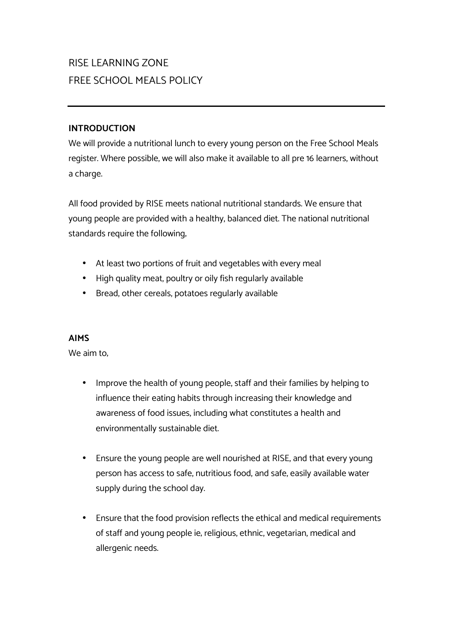## RISE LEARNING ZONE FREE SCHOOL MEALS POLICY

## **INTRODUCTION**

We will provide a nutritional lunch to every young person on the Free School Meals register. Where possible, we will also make it available to all pre 16 learners, without a charge.

All food provided by RISE meets national nutritional standards. We ensure that young people are provided with a healthy, balanced diet. The national nutritional standards require the following;

- At least two portions of fruit and vegetables with every meal
- High quality meat, poultry or oily fish regularly available
- Bread, other cereals, potatoes regularly available

## **AIMS**

We aim to,

- Improve the health of young people, staff and their families by helping to influence their eating habits through increasing their knowledge and awareness of food issues, including what constitutes a health and environmentally sustainable diet.
- Ensure the young people are well nourished at RISE, and that every young person has access to safe, nutritious food, and safe, easily available water supply during the school day.
- Ensure that the food provision reflects the ethical and medical requirements of staff and young people ie; religious, ethnic, vegetarian, medical and allergenic needs.